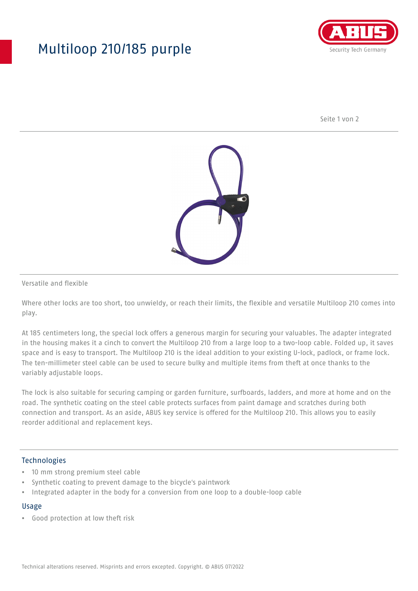# Multiloop 210/185 purple



Seite 1 von 2



Versatile and flexible

Where other locks are too short, too unwieldy, or reach their limits, the flexible and versatile Multiloop 210 comes into play.

At 185 centimeters long, the special lock offers a generous margin for securing your valuables. The adapter integrated in the housing makes it a cinch to convert the Multiloop 210 from a large loop to a two-loop cable. Folded up, it saves space and is easy to transport. The Multiloop 210 is the ideal addition to your existing U-lock, padlock, or frame lock. The ten-millimeter steel cable can be used to secure bulky and multiple items from theft at once thanks to the variably adjustable loops.

The lock is also suitable for securing camping or garden furniture, surfboards, ladders, and more at home and on the road. The synthetic coating on the steel cable protects surfaces from paint damage and scratches during both connection and transport. As an aside, ABUS key service is offered for the Multiloop 210. This allows you to easily reorder additional and replacement keys.

### Technologies

- 10 mm strong premium steel cable
- Synthetic coating to prevent damage to the bicycle's paintwork
- Integrated adapter in the body for a conversion from one loop to a double-loop cable

#### Usage

• Good protection at low theft risk